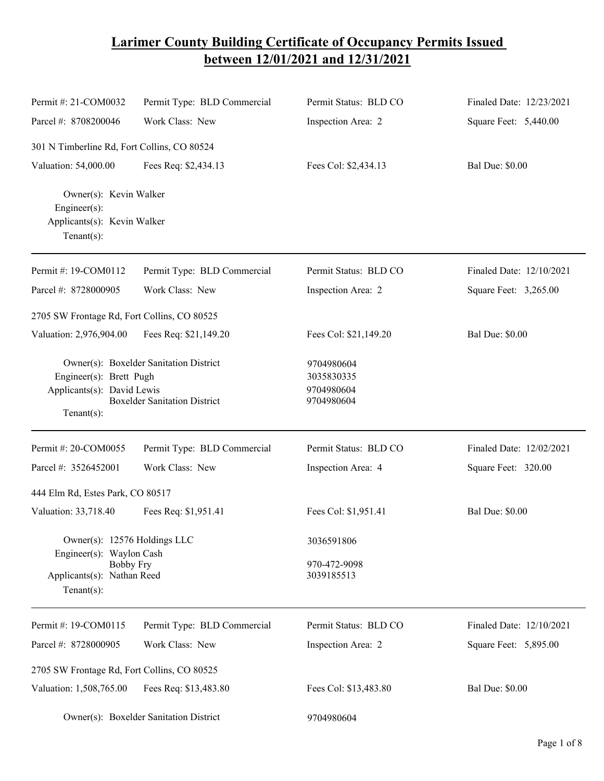## **Larimer County Building Certificate of Occupancy Permits Issued between 12/01/2021 and 12/31/2021**

| Permit #: 21-COM0032                                                                                                     | Permit Type: BLD Commercial                                                   | Permit Status: BLD CO                                | Finaled Date: 12/23/2021 |
|--------------------------------------------------------------------------------------------------------------------------|-------------------------------------------------------------------------------|------------------------------------------------------|--------------------------|
| Parcel #: 8708200046                                                                                                     | Work Class: New                                                               | Inspection Area: 2                                   | Square Feet: 5,440.00    |
| 301 N Timberline Rd, Fort Collins, CO 80524                                                                              |                                                                               |                                                      |                          |
| Valuation: 54,000.00                                                                                                     | Fees Req: \$2,434.13                                                          | Fees Col: \$2,434.13                                 | <b>Bal Due: \$0.00</b>   |
| Owner(s): Kevin Walker<br>Engineer(s):<br>Applicants(s): Kevin Walker<br>$Tenant(s)$ :                                   |                                                                               |                                                      |                          |
| Permit #: 19-COM0112                                                                                                     | Permit Type: BLD Commercial                                                   | Permit Status: BLD CO                                | Finaled Date: 12/10/2021 |
| Parcel #: 8728000905                                                                                                     | Work Class: New                                                               | Inspection Area: 2                                   | Square Feet: 3,265.00    |
| 2705 SW Frontage Rd, Fort Collins, CO 80525                                                                              |                                                                               |                                                      |                          |
| Valuation: 2,976,904.00                                                                                                  | Fees Req: \$21,149.20                                                         | Fees Col: \$21,149.20                                | <b>Bal Due: \$0.00</b>   |
| Engineer(s): Brett Pugh<br>Applicants(s): David Lewis<br>$Tenant(s)$ :                                                   | Owner(s): Boxelder Sanitation District<br><b>Boxelder Sanitation District</b> | 9704980604<br>3035830335<br>9704980604<br>9704980604 |                          |
| Permit #: 20-COM0055                                                                                                     | Permit Type: BLD Commercial                                                   | Permit Status: BLD CO                                | Finaled Date: 12/02/2021 |
| Parcel #: 3526452001                                                                                                     | Work Class: New                                                               | Inspection Area: 4                                   | Square Feet: 320.00      |
| 444 Elm Rd, Estes Park, CO 80517                                                                                         |                                                                               |                                                      |                          |
| Valuation: 33,718.40                                                                                                     | Fees Req: \$1,951.41                                                          | Fees Col: \$1,951.41                                 | <b>Bal Due: \$0.00</b>   |
| Owner(s): 12576 Holdings LLC<br>Engineer(s): Waylon Cash<br><b>Bobby Fry</b><br>Applicants(s): Nathan Reed<br>Tenant(s): |                                                                               | 3036591806                                           |                          |
|                                                                                                                          |                                                                               | 970-472-9098<br>3039185513                           |                          |
| Permit #: 19-COM0115                                                                                                     | Permit Type: BLD Commercial                                                   | Permit Status: BLD CO                                | Finaled Date: 12/10/2021 |
| Parcel #: 8728000905                                                                                                     | Work Class: New                                                               | Inspection Area: 2                                   | Square Feet: 5,895.00    |
| 2705 SW Frontage Rd, Fort Collins, CO 80525                                                                              |                                                                               |                                                      |                          |
| Valuation: 1,508,765.00                                                                                                  | Fees Req: \$13,483.80                                                         | Fees Col: \$13,483.80                                | <b>Bal Due: \$0.00</b>   |
|                                                                                                                          | Owner(s): Boxelder Sanitation District                                        | 9704980604                                           |                          |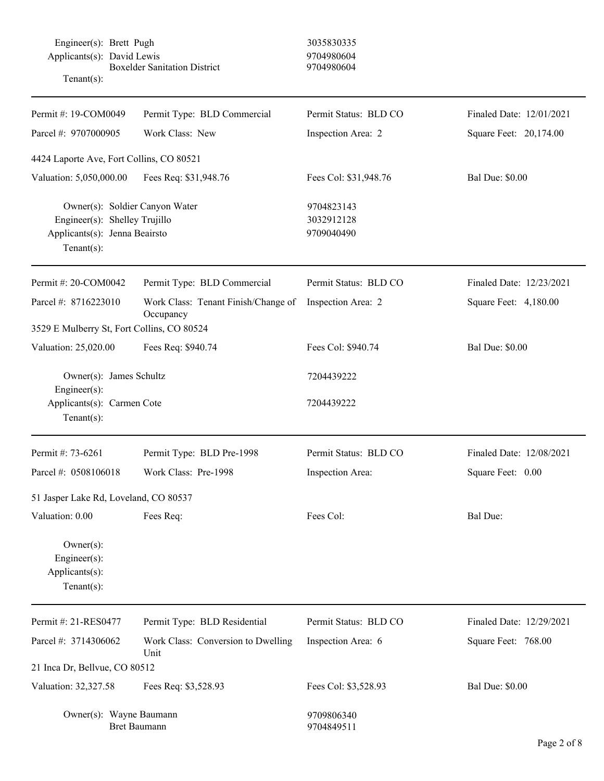Engineer(s): Brett Pugh 3035830335 Applicants(s): David Lewis 9704980604 Boxelder Sanitation District 9704980604 Tenant(s): Permit #: 19-COM0049 Parcel #: 9707000905 Permit Type: BLD Commercial Work Class: New Permit Status: BLD CO Inspection Area: 2 Finaled Date: 12/01/2021 Square Feet: 20,174.00 4424 Laporte Ave, Fort Collins, CO 80521 Valuation: 5,050,000.00 Fees Req: \$31,948.76 Fees Col: \$31,948.76 Bal Due: \$0.00 Owner(s): Soldier Canyon Water 9704823143 Engineer(s): Shelley Trujillo 3032912128 Applicants(s): Jenna Beairsto 9709040490 Tenant(s): Permit #: 20-COM0042 Parcel #: 8716223010 Permit Type: BLD Commercial Work Class: Tenant Finish/Change of **Occupancy** Permit Status: BLD CO Inspection Area: 2 Finaled Date: 12/23/2021 Square Feet: 4,180.00 3529 E Mulberry St, Fort Collins, CO 80524 Valuation: 25,020.00 Fees Req: \$940.74 Fees Col: \$940.74 Bal Due: \$0.00 Owner(s): James Schultz 7204439222 Engineer(s): Applicants(s): Carmen Cote 7204439222 Tenant(s): Permit #: 73-6261 Parcel #: 0508106018 Permit Type: BLD Pre-1998 Work Class: Pre-1998 Permit Status: BLD CO Inspection Area: Finaled Date: 12/08/2021 Square Feet: 0.00 51 Jasper Lake Rd, Loveland, CO 80537 Valuation: 0.00 Fees Req: Fees Col: Fees Col: Bal Due: Owner(s): Engineer(s): Applicants(s): Tenant(s): Permit #: 21-RES0477 Parcel #: 3714306062 Permit Type: BLD Residential Work Class: Conversion to Dwelling Unit Permit Status: BLD CO Inspection Area: 6 Finaled Date: 12/29/2021 Square Feet: 768.00 21 Inca Dr, Bellvue, CO 80512 Valuation: 32,327.58 Fees Req: \$3,528.93 Fees Col: \$3,528.93 Bal Due: \$0.00 Owner(s): Wayne Baumann 9709806340 Bret Baumann 9704849511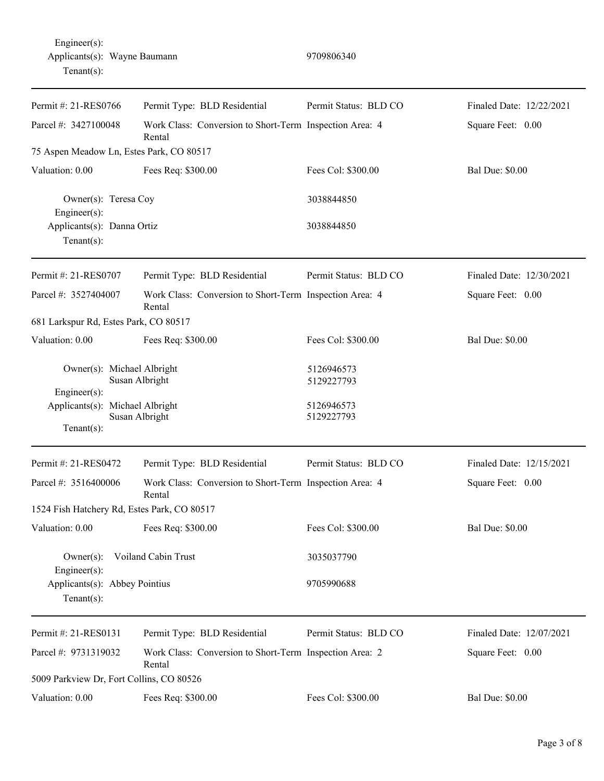| Permit #: 21-RES0766                                                | Permit Type: BLD Residential                                      | Permit Status: BLD CO    | Finaled Date: 12/22/2021 |
|---------------------------------------------------------------------|-------------------------------------------------------------------|--------------------------|--------------------------|
| Parcel #: 3427100048                                                | Work Class: Conversion to Short-Term Inspection Area: 4<br>Rental |                          | Square Feet: 0.00        |
| 75 Aspen Meadow Ln, Estes Park, CO 80517                            |                                                                   |                          |                          |
| Valuation: 0.00                                                     | Fees Req: \$300.00                                                | Fees Col: \$300.00       | <b>Bal Due: \$0.00</b>   |
| Owner(s): Teresa Coy<br>Engineer $(s)$ :                            |                                                                   | 3038844850               |                          |
| Applicants(s): Danna Ortiz<br>Tenant $(s)$ :                        |                                                                   | 3038844850               |                          |
| Permit #: 21-RES0707                                                | Permit Type: BLD Residential                                      | Permit Status: BLD CO    | Finaled Date: 12/30/2021 |
| Parcel #: 3527404007                                                | Work Class: Conversion to Short-Term Inspection Area: 4<br>Rental |                          | Square Feet: 0.00        |
| 681 Larkspur Rd, Estes Park, CO 80517                               |                                                                   |                          |                          |
| Valuation: 0.00                                                     | Fees Req: \$300.00                                                | Fees Col: \$300.00       | <b>Bal Due: \$0.00</b>   |
| Owner(s): Michael Albright<br>Susan Albright<br>Engineer(s):        |                                                                   | 5126946573<br>5129227793 |                          |
| Applicants(s): Michael Albright<br>Susan Albright<br>Tenant $(s)$ : |                                                                   | 5126946573<br>5129227793 |                          |
| Permit #: 21-RES0472                                                | Permit Type: BLD Residential                                      | Permit Status: BLD CO    | Finaled Date: 12/15/2021 |
| Parcel #: 3516400006                                                | Work Class: Conversion to Short-Term Inspection Area: 4<br>Rental |                          | Square Feet: 0.00        |
| 1524 Fish Hatchery Rd, Estes Park, CO 80517                         |                                                                   |                          |                          |
| Valuation: 0.00                                                     | Fees Req: \$300.00                                                | Fees Col: \$300.00       | <b>Bal Due: \$0.00</b>   |
| Voiland Cabin Trust<br>$Owner(s)$ :                                 |                                                                   | 3035037790               |                          |
| Engineer(s):<br>Applicants(s): Abbey Pointius<br>Tenant $(s)$ :     |                                                                   | 9705990688               |                          |
| Permit #: 21-RES0131                                                | Permit Type: BLD Residential                                      | Permit Status: BLD CO    | Finaled Date: 12/07/2021 |
| Parcel #: 9731319032                                                | Work Class: Conversion to Short-Term Inspection Area: 2<br>Rental |                          | Square Feet: 0.00        |
| 5009 Parkview Dr, Fort Collins, CO 80526                            |                                                                   |                          |                          |
| Valuation: 0.00                                                     | Fees Req: \$300.00                                                | Fees Col: \$300.00       | <b>Bal Due: \$0.00</b>   |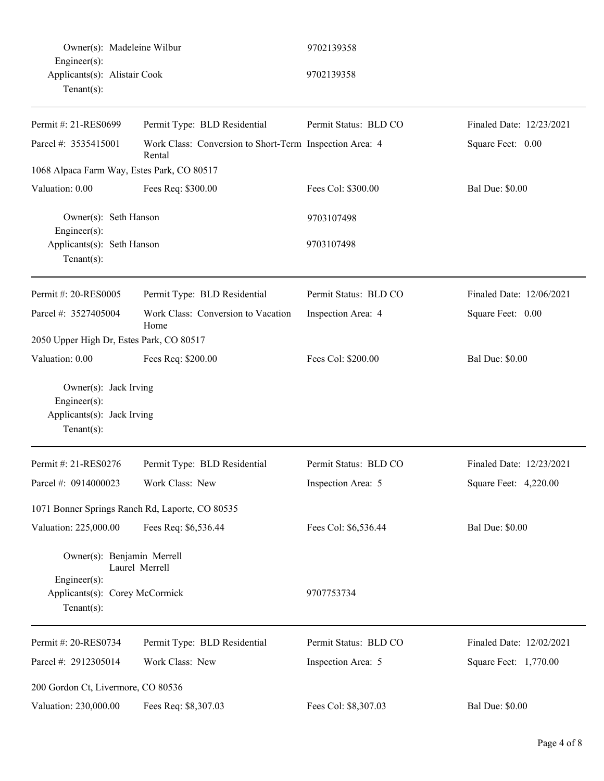| Owner(s): Madeleine Wilbur                                                           |                                                                   | 9702139358            |                          |
|--------------------------------------------------------------------------------------|-------------------------------------------------------------------|-----------------------|--------------------------|
| Engineer(s):<br>Applicants(s): Alistair Cook<br>Tenant $(s)$ :                       |                                                                   | 9702139358            |                          |
| Permit #: 21-RES0699                                                                 | Permit Type: BLD Residential                                      | Permit Status: BLD CO | Finaled Date: 12/23/2021 |
| Parcel #: 3535415001                                                                 | Work Class: Conversion to Short-Term Inspection Area: 4<br>Rental |                       | Square Feet: 0.00        |
| 1068 Alpaca Farm Way, Estes Park, CO 80517                                           |                                                                   |                       |                          |
| Valuation: 0.00                                                                      | Fees Req: \$300.00                                                | Fees Col: \$300.00    | <b>Bal Due: \$0.00</b>   |
| Owner(s): Seth Hanson<br>Engineer(s):                                                |                                                                   | 9703107498            |                          |
| Applicants(s): Seth Hanson<br>Tenant $(s)$ :                                         |                                                                   | 9703107498            |                          |
| Permit #: 20-RES0005                                                                 | Permit Type: BLD Residential                                      | Permit Status: BLD CO | Finaled Date: 12/06/2021 |
| Parcel #: 3527405004                                                                 | Work Class: Conversion to Vacation<br>Home                        | Inspection Area: 4    | Square Feet: 0.00        |
| 2050 Upper High Dr, Estes Park, CO 80517                                             |                                                                   |                       |                          |
| Valuation: 0.00                                                                      | Fees Req: \$200.00                                                | Fees Col: \$200.00    | <b>Bal Due: \$0.00</b>   |
| Owner(s): Jack Irving<br>Engineer(s):<br>Applicants(s): Jack Irving<br>$Tenant(s)$ : |                                                                   |                       |                          |
| Permit #: 21-RES0276                                                                 | Permit Type: BLD Residential                                      | Permit Status: BLD CO | Finaled Date: 12/23/2021 |
| Parcel #: 0914000023                                                                 | Work Class: New                                                   | Inspection Area: 5    | Square Feet: 4,220.00    |
|                                                                                      | 1071 Bonner Springs Ranch Rd, Laporte, CO 80535                   |                       |                          |
| Valuation: 225,000.00                                                                | Fees Req: \$6,536.44                                              | Fees Col: \$6,536.44  | <b>Bal Due: \$0.00</b>   |
| Owner(s): Benjamin Merrell                                                           | Laurel Merrell                                                    |                       |                          |
| Engineer(s):<br>Applicants(s): Corey McCormick<br>$Tenant(s)$ :                      |                                                                   | 9707753734            |                          |
| Permit #: 20-RES0734                                                                 | Permit Type: BLD Residential                                      | Permit Status: BLD CO | Finaled Date: 12/02/2021 |
| Parcel #: 2912305014                                                                 | Work Class: New                                                   | Inspection Area: 5    | Square Feet: 1,770.00    |
| 200 Gordon Ct, Livermore, CO 80536                                                   |                                                                   |                       |                          |
| Valuation: 230,000.00                                                                | Fees Req: \$8,307.03                                              | Fees Col: \$8,307.03  | <b>Bal Due: \$0.00</b>   |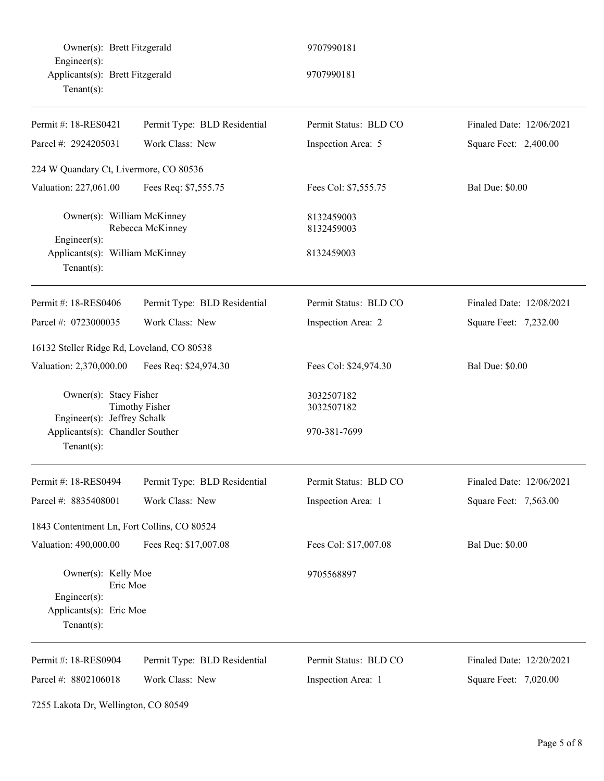Owner(s): Brett Fitzgerald 9707990181 Engineer(s): Applicants(s): Brett Fitzgerald 9707990181 Tenant(s):

| Permit #: 18-RES0421                                                           | Permit Type: BLD Residential | Permit Status: BLD CO    | Finaled Date: 12/06/2021 |
|--------------------------------------------------------------------------------|------------------------------|--------------------------|--------------------------|
| Parcel #: 2924205031                                                           | Work Class: New              | Inspection Area: 5       | Square Feet: 2,400.00    |
| 224 W Quandary Ct, Livermore, CO 80536                                         |                              |                          |                          |
| Valuation: 227,061.00                                                          | Fees Req: \$7,555.75         | Fees Col: \$7,555.75     | <b>Bal Due: \$0.00</b>   |
| Owner(s): William McKinney<br>$Engineering(s)$ :                               | Rebecca McKinney             | 8132459003<br>8132459003 |                          |
| Applicants(s): William McKinney<br>Tenant $(s)$ :                              |                              | 8132459003               |                          |
| Permit #: 18-RES0406                                                           | Permit Type: BLD Residential | Permit Status: BLD CO    | Finaled Date: 12/08/2021 |
| Parcel #: 0723000035                                                           | Work Class: New              | Inspection Area: 2       | Square Feet: 7,232.00    |
| 16132 Steller Ridge Rd, Loveland, CO 80538                                     |                              |                          |                          |
| Valuation: 2,370,000.00                                                        | Fees Req: \$24,974.30        | Fees Col: \$24,974.30    | <b>Bal Due: \$0.00</b>   |
| Owner(s): Stacy Fisher<br><b>Timothy Fisher</b><br>Engineer(s): Jeffrey Schalk |                              | 3032507182<br>3032507182 |                          |
| Applicants(s): Chandler Souther<br>Tenant $(s)$ :                              |                              | 970-381-7699             |                          |
| Permit #: 18-RES0494                                                           | Permit Type: BLD Residential | Permit Status: BLD CO    | Finaled Date: 12/06/2021 |
| Parcel #: 8835408001                                                           | Work Class: New              | Inspection Area: 1       | Square Feet: 7,563.00    |
| 1843 Contentment Ln, Fort Collins, CO 80524                                    |                              |                          |                          |
| Valuation: 490,000.00                                                          | Fees Req: \$17,007.08        | Fees Col: \$17,007.08    | <b>Bal Due: \$0.00</b>   |
| Owner(s): Kelly Moe<br>Eric Moe<br>Engineer(s):                                |                              | 9705568897               |                          |
| Applicants(s): Eric Moe<br>$Tenant(s)$ :                                       |                              |                          |                          |
| Permit #: 18-RES0904                                                           | Permit Type: BLD Residential | Permit Status: BLD CO    | Finaled Date: 12/20/2021 |
| Parcel #: 8802106018                                                           | Work Class: New              | Inspection Area: 1       | Square Feet: 7,020.00    |

7255 Lakota Dr, Wellington, CO 80549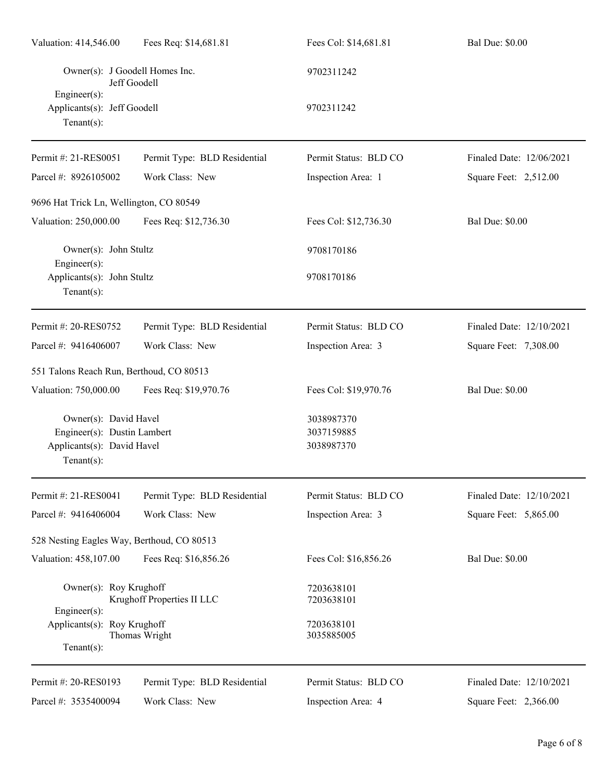| Valuation: 414,546.00                                                                            | Fees Req: \$14,681.81        | Fees Col: \$14,681.81                  | <b>Bal Due: \$0.00</b>   |
|--------------------------------------------------------------------------------------------------|------------------------------|----------------------------------------|--------------------------|
| Owner(s): J Goodell Homes Inc.<br>Jeff Goodell                                                   |                              | 9702311242                             |                          |
| $Engineer(s)$ :<br>Applicants(s): Jeff Goodell<br>Tenant $(s)$ :                                 |                              | 9702311242                             |                          |
| Permit #: 21-RES0051                                                                             | Permit Type: BLD Residential | Permit Status: BLD CO                  | Finaled Date: 12/06/2021 |
| Parcel #: 8926105002                                                                             | Work Class: New              | Inspection Area: 1                     | Square Feet: 2,512.00    |
| 9696 Hat Trick Ln, Wellington, CO 80549                                                          |                              |                                        |                          |
| Valuation: 250,000.00                                                                            | Fees Req: \$12,736.30        | Fees Col: \$12,736.30                  | <b>Bal Due: \$0.00</b>   |
| Owner(s): John Stultz<br>Engineer $(s)$ :                                                        |                              | 9708170186                             |                          |
| Applicants(s): John Stultz<br>Tenant $(s)$ :                                                     |                              | 9708170186                             |                          |
| Permit #: 20-RES0752                                                                             | Permit Type: BLD Residential | Permit Status: BLD CO                  | Finaled Date: 12/10/2021 |
| Parcel #: 9416406007                                                                             | Work Class: New              | Inspection Area: 3                     | Square Feet: 7,308.00    |
| 551 Talons Reach Run, Berthoud, CO 80513                                                         |                              |                                        |                          |
| Valuation: 750,000.00                                                                            | Fees Req: \$19,970.76        | Fees Col: \$19,970.76                  | <b>Bal Due: \$0.00</b>   |
| Owner(s): David Havel<br>Engineer(s): Dustin Lambert<br>Applicants(s): David Havel<br>Tenant(s): |                              | 3038987370<br>3037159885<br>3038987370 |                          |
| Permit #: 21-RES0041                                                                             | Permit Type: BLD Residential | Permit Status: BLD CO                  | Finaled Date: 12/10/2021 |
| Parcel #: 9416406004                                                                             | Work Class: New              | Inspection Area: 3                     | Square Feet: 5,865.00    |
| 528 Nesting Eagles Way, Berthoud, CO 80513                                                       |                              |                                        |                          |
| Valuation: 458,107.00                                                                            | Fees Req: \$16,856.26        | Fees Col: \$16,856.26                  | <b>Bal Due: \$0.00</b>   |
| Owner(s): Roy Krughoff<br>Engineer(s):                                                           | Krughoff Properties II LLC   | 7203638101<br>7203638101               |                          |
| Applicants(s): Roy Krughoff<br>Tenant $(s)$ :                                                    | Thomas Wright                | 7203638101<br>3035885005               |                          |
| Permit #: 20-RES0193                                                                             | Permit Type: BLD Residential | Permit Status: BLD CO                  | Finaled Date: 12/10/2021 |
| Parcel #: 3535400094                                                                             | Work Class: New              | Inspection Area: 4                     | Square Feet: 2,366.00    |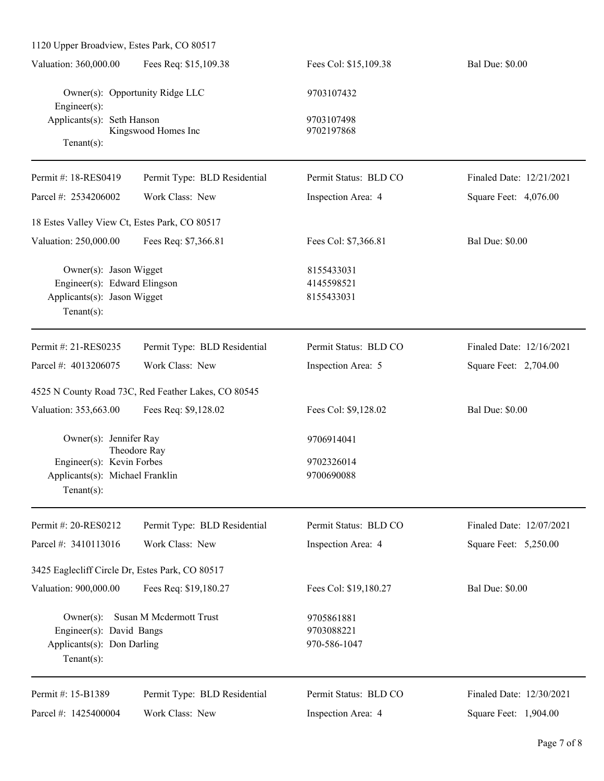| 1120 Upper Broadview, Estes Park, CO 80517                                                              |                                                     |                                          |                          |
|---------------------------------------------------------------------------------------------------------|-----------------------------------------------------|------------------------------------------|--------------------------|
| Valuation: 360,000.00                                                                                   | Fees Req: \$15,109.38                               | Fees Col: \$15,109.38                    | <b>Bal Due: \$0.00</b>   |
| Owner(s): Opportunity Ridge LLC<br>Engineer $(s)$ :                                                     |                                                     | 9703107432                               |                          |
| Applicants(s): Seth Hanson                                                                              |                                                     | 9703107498                               |                          |
| Tenant $(s)$ :                                                                                          | Kingswood Homes Inc                                 | 9702197868                               |                          |
| Permit #: 18-RES0419                                                                                    | Permit Type: BLD Residential                        | Permit Status: BLD CO                    | Finaled Date: 12/21/2021 |
| Parcel #: 2534206002                                                                                    | Work Class: New                                     | Inspection Area: 4                       | Square Feet: 4,076.00    |
| 18 Estes Valley View Ct, Estes Park, CO 80517                                                           |                                                     |                                          |                          |
| Valuation: 250,000.00                                                                                   | Fees Req: \$7,366.81                                | Fees Col: \$7,366.81                     | <b>Bal Due: \$0.00</b>   |
| Owner(s): Jason Wigget<br>Engineer(s): Edward Elingson<br>Applicants(s): Jason Wigget<br>Tenant $(s)$ : |                                                     | 8155433031<br>4145598521<br>8155433031   |                          |
| Permit #: 21-RES0235                                                                                    | Permit Type: BLD Residential                        | Permit Status: BLD CO                    | Finaled Date: 12/16/2021 |
| Parcel #: 4013206075                                                                                    | Work Class: New                                     | Inspection Area: 5                       | Square Feet: 2,704.00    |
|                                                                                                         | 4525 N County Road 73C, Red Feather Lakes, CO 80545 |                                          |                          |
| Valuation: 353,663.00                                                                                   | Fees Req: \$9,128.02                                | Fees Col: \$9,128.02                     | <b>Bal Due: \$0.00</b>   |
| Owner(s): Jennifer Ray                                                                                  |                                                     | 9706914041                               |                          |
| Engineer(s): Kevin Forbes                                                                               | Theodore Ray                                        | 9702326014                               |                          |
| Applicants(s): Michael Franklin                                                                         |                                                     | 9700690088                               |                          |
| Tenant $(s)$ :                                                                                          |                                                     |                                          |                          |
| Permit #: 20-RES0212                                                                                    | Permit Type: BLD Residential                        | Permit Status: BLD CO                    | Finaled Date: 12/07/2021 |
| Parcel #: 3410113016                                                                                    | Work Class: New                                     | Inspection Area: 4                       | Square Feet: 5,250.00    |
| 3425 Eaglecliff Circle Dr, Estes Park, CO 80517                                                         |                                                     |                                          |                          |
| Valuation: 900,000.00                                                                                   | Fees Req: \$19,180.27                               | Fees Col: \$19,180.27                    | <b>Bal Due: \$0.00</b>   |
| $Owner(s)$ :<br>Engineer(s): David Bangs<br>Applicants(s): Don Darling<br>Tenant $(s)$ :                | Susan M Mcdermott Trust                             | 9705861881<br>9703088221<br>970-586-1047 |                          |
| Permit #: 15-B1389                                                                                      | Permit Type: BLD Residential                        | Permit Status: BLD CO                    | Finaled Date: 12/30/2021 |
| Parcel #: 1425400004                                                                                    | Work Class: New                                     | Inspection Area: 4                       | Square Feet: 1,904.00    |